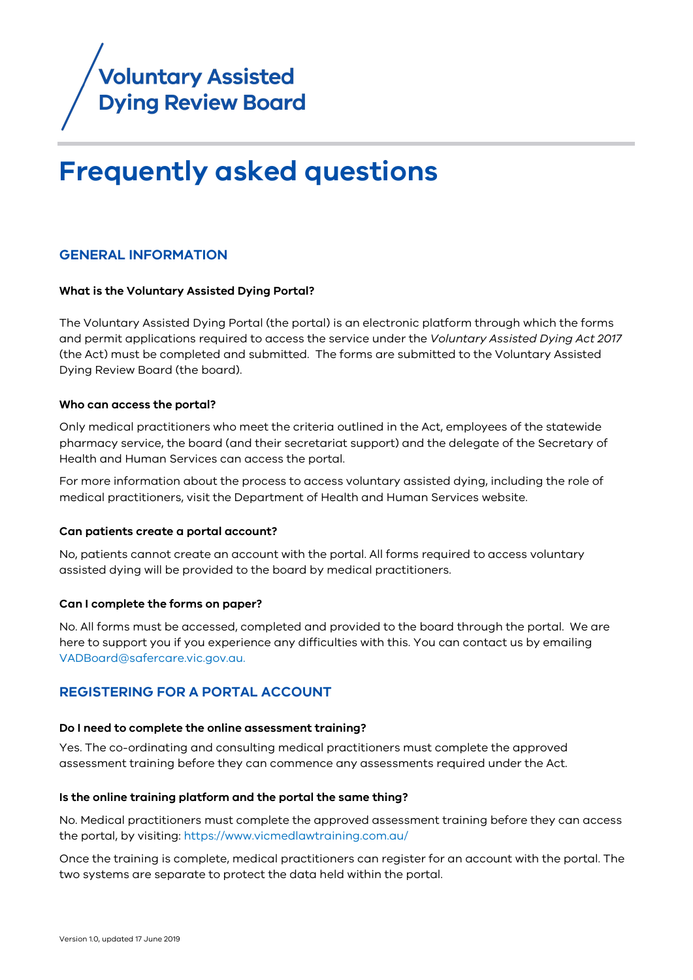

## **Frequently asked questions**

## **GENERAL INFORMATION**

## **What is the Voluntary Assisted Dying Portal?**

The [Voluntary Assisted Dying Portal](https://bettersafercare.vic.gov.au/about-us/about-scv/councils/voluntary-assisted-dying-review-board/voluntary-assisted-dying-portal) (the portal) is an electronic platform through which the forms and permit applications required to access the service under the *Voluntary Assisted Dying Act 2017* (the Act) must be completed and submitted. The forms are submitted to the Voluntary Assisted Dying Review Board (the board).

### **Who can access the portal?**

Only medical practitioners who meet the criteria outlined in the Act, employees of the statewide pharmacy service, the board (and their secretariat support) and the delegate of the Secretary of Health and Human Services can access the portal.

For more information about the process to access voluntary assisted dying, including the role of medical practitioners, visit the [Department of Health and Human Services website.](https://www2.health.vic.gov.au/hospitals-and-health-services/patient-care/end-of-life-care/voluntary-assisted-dying/coordinating-consulting-medical-practicioner-information)

### **Can patients create a portal account?**

No, patients cannot create an account with the portal. All forms required to access voluntary assisted dying will be provided to the board by medical practitioners.

### **Can I complete the forms on paper?**

No. All forms must be accessed, completed and provided to the board through the portal. We are here to [support you](#page-4-0) if you experience any difficulties with this. You can contact us by emailing [VADBoard@safercare.vic.gov.au.](mailto:VADBoard@safercare.vic.gov.au) 

## **REGISTERING FOR A PORTAL ACCOUNT**

### **Do I need to complete the online assessment training?**

Yes. The co-ordinating and consulting medical practitioners must complete th[e approved](https://www.vicmedlawtraining.com.au/)  [assessment training](https://www.vicmedlawtraining.com.au/) before they can commence any assessments required under the Act.

## **Is the online training platform and the portal the same thing?**

No. Medical practitioners must complete the approved assessment training before they can access the portal, by visiting:<https://www.vicmedlawtraining.com.au/>

Once the training is complete, medical practitioners can register for an account with the portal. The two systems are separate to protect the data held within the portal.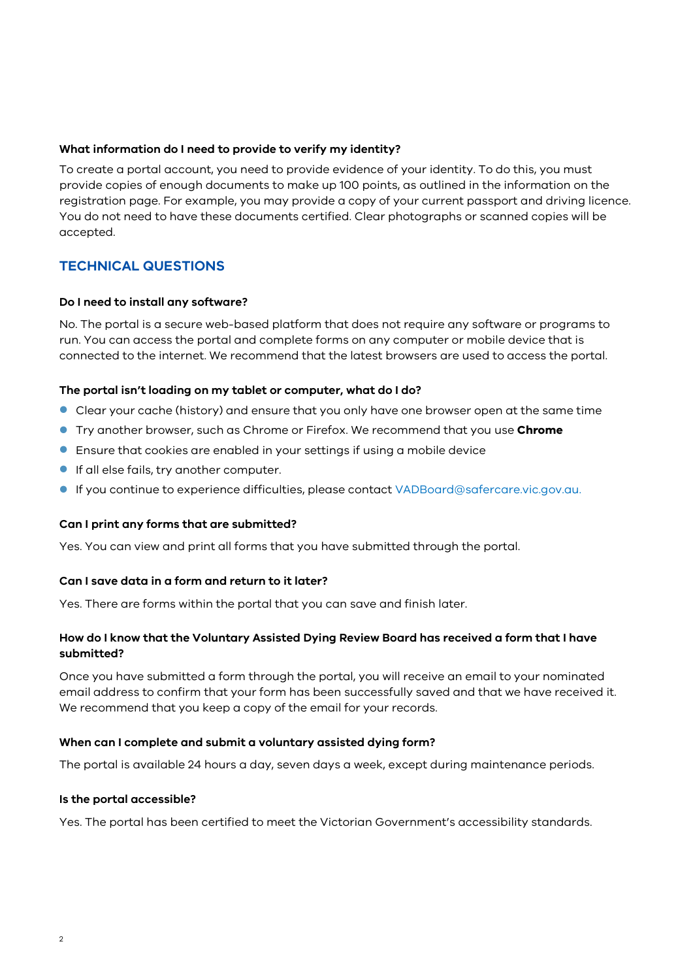## **What information do I need to provide to verify my identity?**

To create a portal account, you need to provide evidence of your identity. To do this, you must provide copies of enough documents to make up 100 points, as outlined in the information on the registration page. For example, you may provide a copy of your current passport and driving licence. You do not need to have these documents certified. Clear photographs or scanned copies will be accepted.

## **TECHNICAL QUESTIONS**

## **Do I need to install any software?**

No. The portal is a secure web-based platform that does not require any software or programs to run. You can access the portal and complete forms on any computer or mobile device that is connected to the internet. We recommend that the latest browsers are used to access the portal.

## **The portal isn't loading on my tablet or computer, what do I do?**

- Clear your cache (history) and ensure that you only have one browser open at the same time
- Try another browser, such as Chrome or Firefox. We recommend that you use **Chrome**
- Ensure that cookies are enabled in your settings if using a mobile device
- **If all else fails, try another computer.**
- If you continue to experience difficulties, please contact [VADBoard@safercare.vic.gov.au.](mailto:VADBoard@safercare.vic.gov.au)

## **Can I print any forms that are submitted?**

Yes. You can view and print all forms that you have submitted through the portal.

## **Can I save data in a form and return to it later?**

Yes. There are forms within the portal that you can save and finish later.

## **How do I know that the Voluntary Assisted Dying Review Board has received a form that I have submitted?**

Once you have submitted a form through the portal, you will receive an email to your nominated email address to confirm that your form has been successfully saved and that we have received it. We recommend that you keep a copy of the email for your records.

## **When can I complete and submit a voluntary assisted dying form?**

The portal is available 24 hours a day, seven days a week, except during maintenance periods.

### **Is the portal accessible?**

Yes. The portal has been certified to meet the Victorian Government's accessibility standards.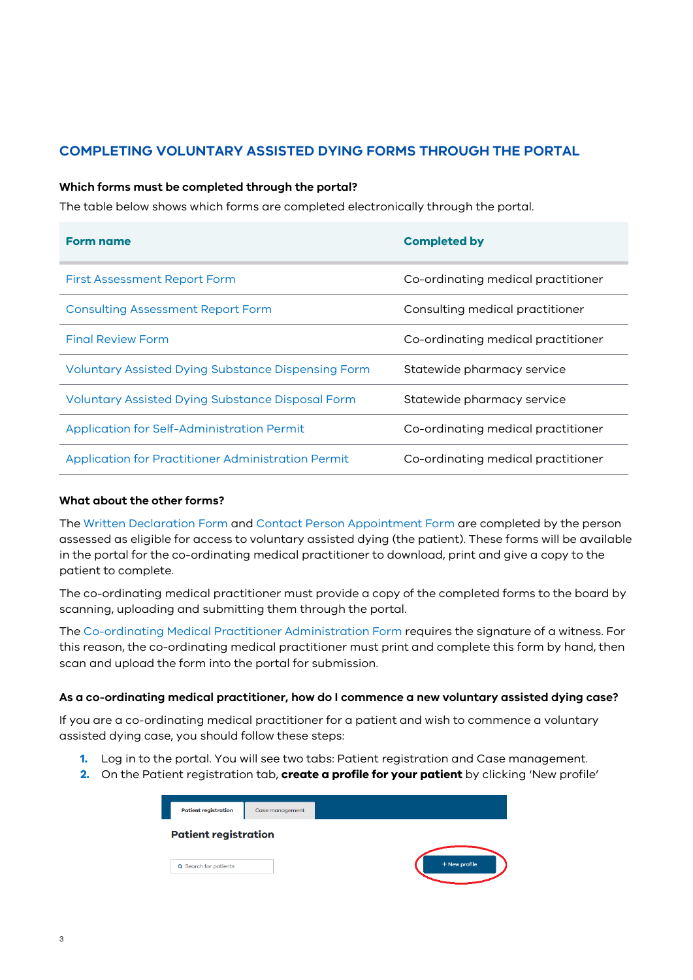## **COMPLETING VOLUNTARY ASSISTED DYING FORMS THROUGH THE PORTAL**

## **Which forms must be completed through the portal?**

The table below shows which forms are completed electronically through the portal.

| <b>Form name</b>                                        | <b>Completed by</b>                |
|---------------------------------------------------------|------------------------------------|
| <b>First Assessment Report Form</b>                     | Co-ordinating medical practitioner |
| <b>Consulting Assessment Report Form</b>                | Consulting medical practitioner    |
| <b>Final Review Form</b>                                | Co-ordinating medical practitioner |
| Voluntary Assisted Dying Substance Dispensing Form      | Statewide pharmacy service         |
| <b>Voluntary Assisted Dying Substance Disposal Form</b> | Statewide pharmacy service         |
| Application for Self-Administration Permit              | Co-ordinating medical practitioner |
| Application for Practitioner Administration Permit      | Co-ordinating medical practitioner |

## **What about the other forms?**

The Written Declaration Form and Contact Person Appointment Form are completed by the person assessed as eligible for access to voluntary assisted dying (the patient). These forms will be available in the portal for the co-ordinating medical practitioner to download, print and give a copy to the patient to complete.

The co-ordinating medical practitioner must provide a copy of the completed forms to the board by scanning, uploading and submitting them through the portal.

The Co-ordinating Medical Practitioner Administration Form requires the signature of a witness. For this reason, the co-ordinating medical practitioner must print and complete this form by hand, then scan and upload the form into the portal for submission.

## **As a co-ordinating medical practitioner, how do I commence a new voluntary assisted dying case?**

If you are a co-ordinating medical practitioner for a patient and wish to commence a voluntary assisted dying case, you should follow these steps:

- **1.** Log in to the portal. You will see two tabs: Patient registration and Case management.
- **2.** On the Patient registration tab, **create a profile for your patient** by clicking 'New profile'

| <b>Patient registration</b> | Case management |               |
|-----------------------------|-----------------|---------------|
| <b>Patient registration</b> |                 |               |
| Q Search for patients       |                 | + New profile |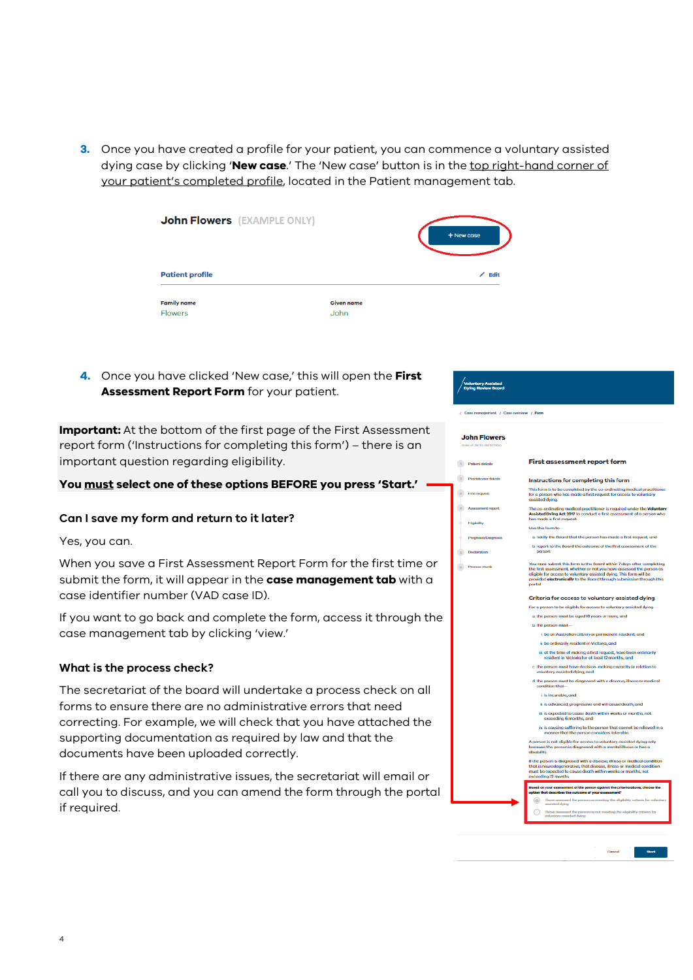**3.** Once you have created a profile for your patient, you can commence a voluntary assisted dying case by clicking '**New case**.' The 'New case' button is in the top right-hand corner of your patient's completed profile, located in the Patient management tab.

| <b>John Flowers</b> (EXAMPLE ONLY)   |                           | + New case |
|--------------------------------------|---------------------------|------------|
| <b>Patient profile</b>               |                           | $Z$ Edit   |
| <b>Family name</b><br><b>Flowers</b> | <b>Given name</b><br>John |            |

**4.** Once you have clicked 'New case,' this will open the **First Assessment Report Form** for your patient.

**Important:** At the bottom of the first page of the First Assessment report form ('Instructions for completing this form') – there is an important question regarding eligibility.

## **You must select one of these options BEFORE you press 'Start.'**

## **Can I save my form and return to it later?**

Yes, you can.

When you save a First Assessment Report Form for the first time or submit the form, it will appear in the **case management tab** with a case identifier number (VAD case ID).

If you want to go back and complete the form, access it through the case management tab by clicking 'view.'

## **What is the process check?**

The secretariat of the board will undertake a process check on all forms to ensure there are no administrative errors that need correcting. For example, we will check that you have attached the supporting documentation as required by law and that the documents have been uploaded correctly.

If there are any administrative issues, the secretariat will email or call you to discuss, and you can amend the form through the portal if required.

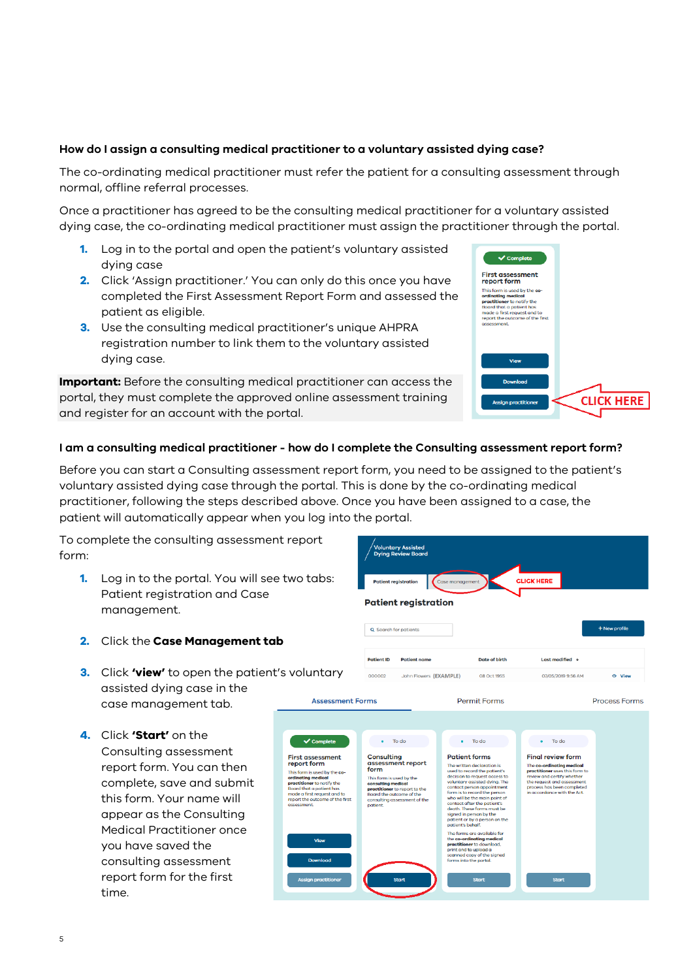## **How do I assign a consulting medical practitioner to a voluntary assisted dying case?**

The co-ordinating medical practitioner must refer the patient for a consulting assessment through normal, offline referral processes.

Once a practitioner has agreed to be the consulting medical practitioner for a voluntary assisted dying case, the co-ordinating medical practitioner must assign the practitioner through the portal.

- **1.** Log in to the portal and open the patient's voluntary assisted dying case
- **2.** Click 'Assign practitioner.' You can only do this once you have completed the First Assessment Report Form and assessed the patient as eligible.
- **3.** Use the consulting medical practitioner's unique AHPRA registration number to link them to the voluntary assisted dying case.

**Important:** Before the consulting medical practitioner can access the portal, they must complete the approved online assessment training and register for an account with the portal.

# $\sqrt{\text{Complete}}$ First assessment<br>report form **report form**<br>This form is used by the co-<br>ordinatring medical<br>practitioner to notify the<br>Board that a patient has<br>made a first request and to<br>report the outcome of the fi **CLICK HERE**

## <span id="page-4-0"></span>**I am a consulting medical practitioner - how do I complete the Consulting assessment report form?**

Before you can start a Consulting assessment report form, you need to be assigned to the patient's voluntary assisted dying case through the portal. This is done by the co-ordinating medical practitioner, following the steps described above. Once you have been assigned to a case, the patient will automatically appear when you log into the portal.

To complete the consulting assessment report form:

- **1.** Log in to the portal. You will see two tabs: Patient registration and Case management.
- **2.** Click the **Case Management tab**
- **3.** Click **'view'** to open the patient's voluntary assisted dying case in the case management tab.
- **4.** Click **'Start'** on the Consulting assessment report form. You can then complete, save and submit this form. Your name will appear as the Consulting Medical Practitioner once you have saved the consulting assessment report form for the first time.